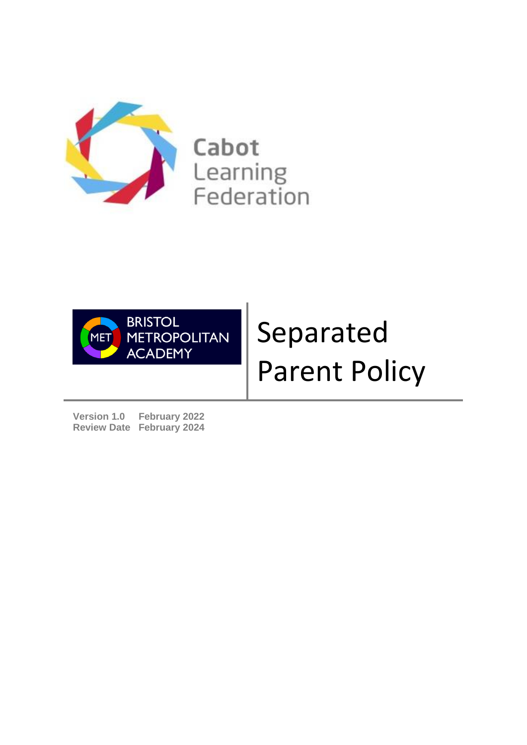

Cabot Learning Federation



# Separated Parent Policy

**Version 1.0 February 2022 Review Date February 2024**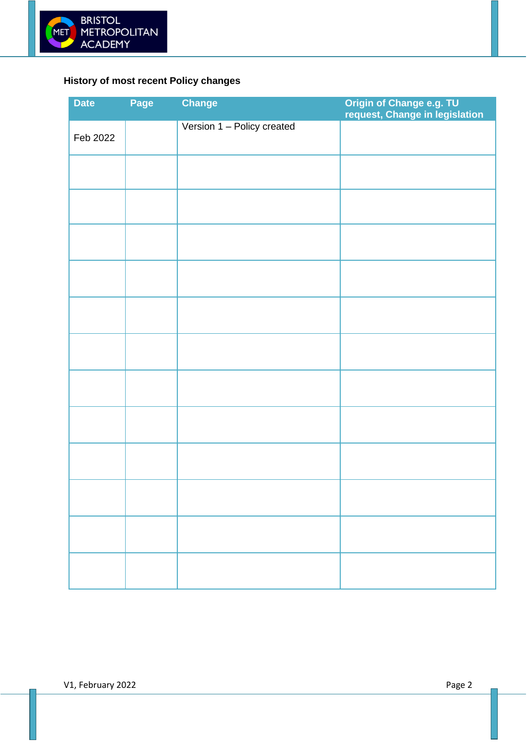

# <span id="page-1-0"></span>**History of most recent Policy changes**

| <b>Date</b> | Page | <b>Change</b>              | Origin of Change e.g. TU<br>request, Change in legislation |
|-------------|------|----------------------------|------------------------------------------------------------|
| Feb 2022    |      | Version 1 - Policy created |                                                            |
|             |      |                            |                                                            |
|             |      |                            |                                                            |
|             |      |                            |                                                            |
|             |      |                            |                                                            |
|             |      |                            |                                                            |
|             |      |                            |                                                            |
|             |      |                            |                                                            |
|             |      |                            |                                                            |
|             |      |                            |                                                            |
|             |      |                            |                                                            |
|             |      |                            |                                                            |
|             |      |                            |                                                            |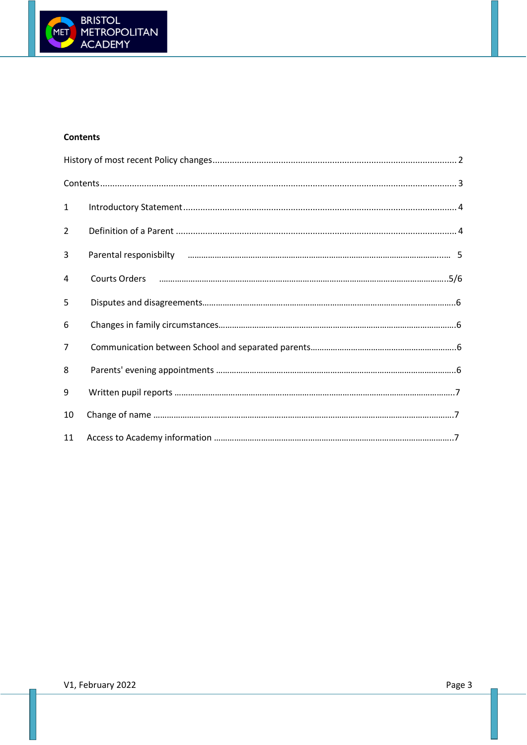

# <span id="page-2-0"></span>**Contents**

| $\mathbf{1}$   |  |
|----------------|--|
| $\overline{2}$ |  |
| 3              |  |
| 4              |  |
| 5              |  |
| 6              |  |
| $\overline{7}$ |  |
| 8              |  |
| 9              |  |
| 10             |  |
| 11             |  |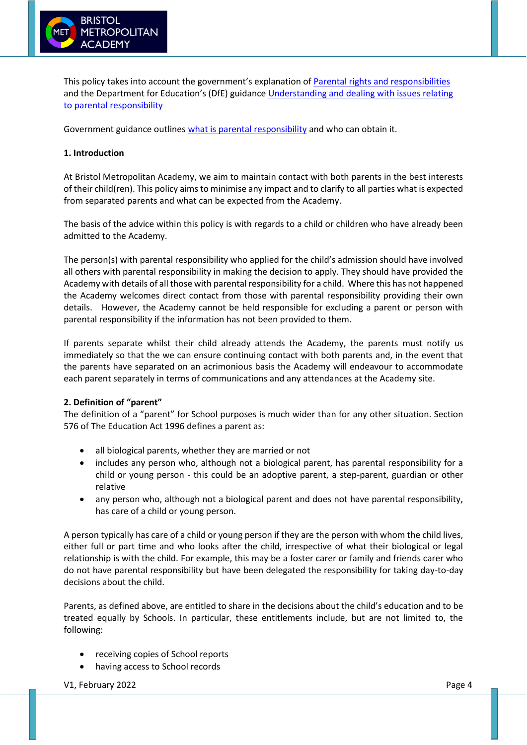

This policy takes into account the government's explanation of [Parental rights and responsibilities](https://www.gov.uk/parental-rights-responsibilities) and the Department for Education's (DfE) guidance [Understanding and dealing with issues relating](https://www.gov.uk/government/publications/dealing-with-issues-relating-to-parental-responsibility/understanding-and-dealing-with-issues-relating-to-parental-responsibility#introduction)  [to parental responsibility](https://www.gov.uk/government/publications/dealing-with-issues-relating-to-parental-responsibility/understanding-and-dealing-with-issues-relating-to-parental-responsibility#introduction)

Government guidance outlines [what is parental responsibility](https://www.gov.uk/parental-rights-responsibilities) and who can obtain it.

### **1. Introduction**

At Bristol Metropolitan Academy, we aim to maintain contact with both parents in the best interests of their child(ren). This policy aims to minimise any impact and to clarify to all parties what is expected from separated parents and what can be expected from the Academy.

The basis of the advice within this policy is with regards to a child or children who have already been admitted to the Academy.

The person(s) with parental responsibility who applied for the child's admission should have involved all others with parental responsibility in making the decision to apply. They should have provided the Academy with details of all those with parental responsibility for a child. Where this has not happened the Academy welcomes direct contact from those with parental responsibility providing their own details. However, the Academy cannot be held responsible for excluding a parent or person with parental responsibility if the information has not been provided to them.

If parents separate whilst their child already attends the Academy, the parents must notify us immediately so that the we can ensure continuing contact with both parents and, in the event that the parents have separated on an acrimonious basis the Academy will endeavour to accommodate each parent separately in terms of communications and any attendances at the Academy site.

#### **2. Definition of "parent"**

The definition of a "parent" for School purposes is much wider than for any other situation. Section 576 of The Education Act 1996 defines a parent as:

- all biological parents, whether they are married or not
- includes any person who, although not a biological parent, has parental responsibility for a child or young person - this could be an adoptive parent, a step-parent, guardian or other relative
- any person who, although not a biological parent and does not have parental responsibility, has care of a child or young person.

A person typically has care of a child or young person if they are the person with whom the child lives, either full or part time and who looks after the child, irrespective of what their biological or legal relationship is with the child. For example, this may be a foster carer or family and friends carer who do not have parental responsibility but have been delegated the responsibility for taking day-to-day decisions about the child.

Parents, as defined above, are entitled to share in the decisions about the child's education and to be treated equally by Schools. In particular, these entitlements include, but are not limited to, the following:

- receiving copies of School reports
- having access to School records

V1, February 2022 **Page 4**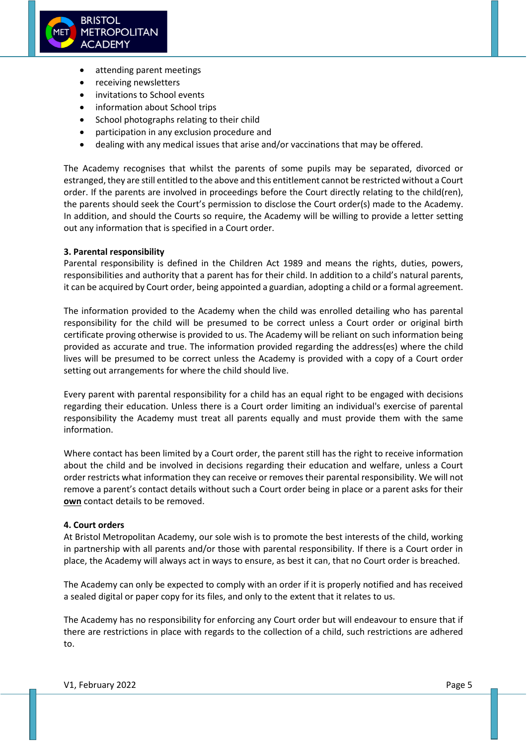

- attending parent meetings
- receiving newsletters
- invitations to School events
- information about School trips
- School photographs relating to their child
- participation in any exclusion procedure and
- dealing with any medical issues that arise and/or vaccinations that may be offered.

The Academy recognises that whilst the parents of some pupils may be separated, divorced or estranged, they are still entitled to the above and this entitlement cannot be restricted without a Court order. If the parents are involved in proceedings before the Court directly relating to the child(ren), the parents should seek the Court's permission to disclose the Court order(s) made to the Academy. In addition, and should the Courts so require, the Academy will be willing to provide a letter setting out any information that is specified in a Court order.

#### **3. Parental responsibility**

Parental responsibility is defined in the Children Act 1989 and means the rights, duties, powers, responsibilities and authority that a parent has for their child. In addition to a child's natural parents, it can be acquired by Court order, being appointed a guardian, adopting a child or a formal agreement.

The information provided to the Academy when the child was enrolled detailing who has parental responsibility for the child will be presumed to be correct unless a Court order or original birth certificate proving otherwise is provided to us. The Academy will be reliant on such information being provided as accurate and true. The information provided regarding the address(es) where the child lives will be presumed to be correct unless the Academy is provided with a copy of a Court order setting out arrangements for where the child should live.

Every parent with parental responsibility for a child has an equal right to be engaged with decisions regarding their education. Unless there is a Court order limiting an individual's exercise of parental responsibility the Academy must treat all parents equally and must provide them with the same information.

Where contact has been limited by a Court order, the parent still has the right to receive information about the child and be involved in decisions regarding their education and welfare, unless a Court order restricts what information they can receive or removes their parental responsibility. We will not remove a parent's contact details without such a Court order being in place or a parent asks for their **own** contact details to be removed.

#### **4. Court orders**

At Bristol Metropolitan Academy, our sole wish is to promote the best interests of the child, working in partnership with all parents and/or those with parental responsibility. If there is a Court order in place, the Academy will always act in ways to ensure, as best it can, that no Court order is breached.

The Academy can only be expected to comply with an order if it is properly notified and has received a sealed digital or paper copy for its files, and only to the extent that it relates to us.

The Academy has no responsibility for enforcing any Court order but will endeavour to ensure that if there are restrictions in place with regards to the collection of a child, such restrictions are adhered to.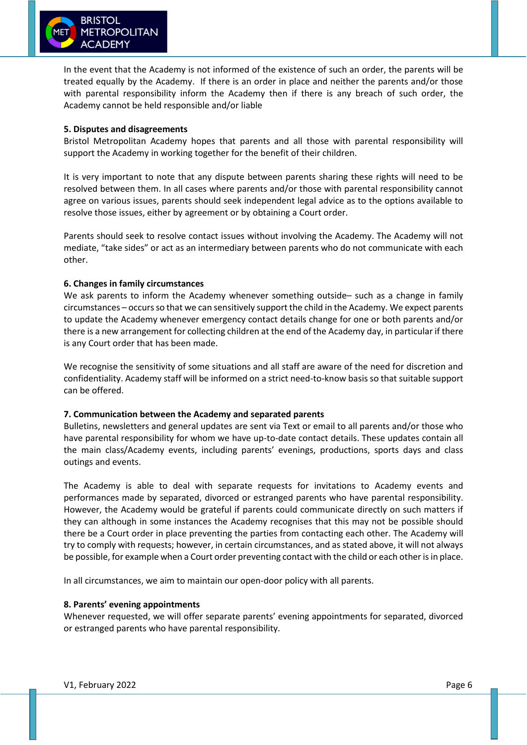

In the event that the Academy is not informed of the existence of such an order, the parents will be treated equally by the Academy. If there is an order in place and neither the parents and/or those with parental responsibility inform the Academy then if there is any breach of such order, the Academy cannot be held responsible and/or liable

#### **5. Disputes and disagreements**

Bristol Metropolitan Academy hopes that parents and all those with parental responsibility will support the Academy in working together for the benefit of their children.

It is very important to note that any dispute between parents sharing these rights will need to be resolved between them. In all cases where parents and/or those with parental responsibility cannot agree on various issues, parents should seek independent legal advice as to the options available to resolve those issues, either by agreement or by obtaining a Court order.

Parents should seek to resolve contact issues without involving the Academy. The Academy will not mediate, "take sides" or act as an intermediary between parents who do not communicate with each other.

# **6. Changes in family circumstances**

We ask parents to inform the Academy whenever something outside- such as a change in family circumstances – occurs so that we can sensitively support the child in the Academy. We expect parents to update the Academy whenever emergency contact details change for one or both parents and/or there is a new arrangement for collecting children at the end of the Academy day, in particular if there is any Court order that has been made.

We recognise the sensitivity of some situations and all staff are aware of the need for discretion and confidentiality. Academy staff will be informed on a strict need-to-know basis so that suitable support can be offered.

#### **7. Communication between the Academy and separated parents**

Bulletins, newsletters and general updates are sent via Text or email to all parents and/or those who have parental responsibility for whom we have up-to-date contact details. These updates contain all the main class/Academy events, including parents' evenings, productions, sports days and class outings and events.

The Academy is able to deal with separate requests for invitations to Academy events and performances made by separated, divorced or estranged parents who have parental responsibility. However, the Academy would be grateful if parents could communicate directly on such matters if they can although in some instances the Academy recognises that this may not be possible should there be a Court order in place preventing the parties from contacting each other. The Academy will try to comply with requests; however, in certain circumstances, and as stated above, it will not always be possible, for example when a Court order preventing contact with the child or each other is in place.

In all circumstances, we aim to maintain our open-door policy with all parents.

#### **8. Parents' evening appointments**

Whenever requested, we will offer separate parents' evening appointments for separated, divorced or estranged parents who have parental responsibility.